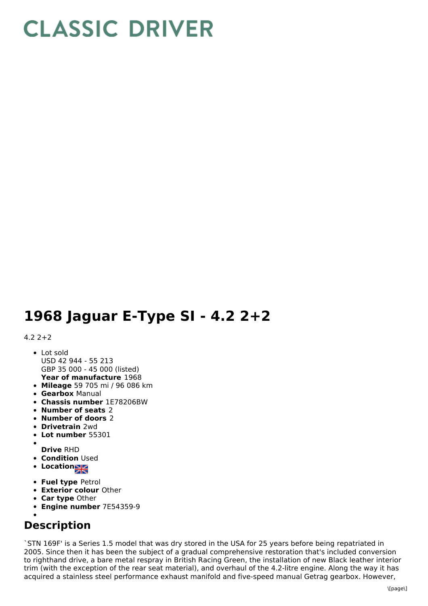## **CLASSIC DRIVER**

## **1968 Jaguar E-Type SI - 4.2 2+2**

## $4.2$   $2+2$

- **Year of manufacture** 1968 Lot sold USD 42 944 - 55 213 GBP 35 000 - 45 000 (listed)
- **Mileage** 59 705 mi / 96 086 km
- **Gearbox** Manual
- **Chassis number** 1E78206BW
- **Number of seats** 2
- **Number of doors** 2
- **Drivetrain** 2wd
- **Lot number** 55301
- **Drive** RHD
- **Condition Used**
- **Location**
- **Fuel type** Petrol
- **Exterior colour** Other
- **Car type** Other
- **Engine number** 7E54359-9
- 

## **Description**

`STN 169F' is a Series 1.5 model that was dry stored in the USA for 25 years before being repatriated in 2005. Since then it has been the subject of a gradual comprehensive restoration that's included conversion to righthand drive, a bare metal respray in British Racing Green, the installation of new Black leather interior trim (with the exception of the rear seat material), and overhaul of the 4.2-litre engine. Along the way it has acquired a stainless steel performance exhaust manifold and five-speed manual Getrag gearbox. However,